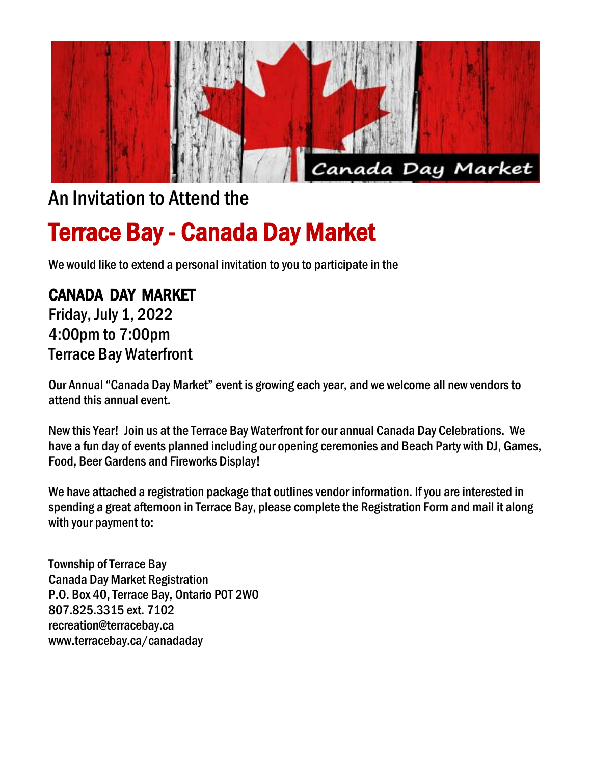

## An Invitation to Attend the

# Terrace Bay - Canada Day Market

We would like to extend a personal invitation to you to participate in the

## CANADA DAY MARKET

Friday, July 1, 2022 4:00pm to 7:00pm Terrace Bay Waterfront

Our Annual "Canada Day Market" event is growing each year, and we welcome all new vendors to attend this annual event.

New this Year! Join us at the Terrace Bay Waterfront for our annual Canada Day Celebrations. We have a fun day of events planned including our opening ceremonies and Beach Party with DJ, Games, Food, Beer Gardens and Fireworks Display!

We have attached a registration package that outlines vendor information. If you are interested in spending a great afternoon in Terrace Bay, please complete the Registration Form and mail it along with your payment to:

Township of Terrace Bay Canada Day Market Registration P.O. Box 40, Terrace Bay, Ontario P0T 2W0 807.825.3315 ext. 7102 recreation@terracebay.ca www.terracebay.ca/canadaday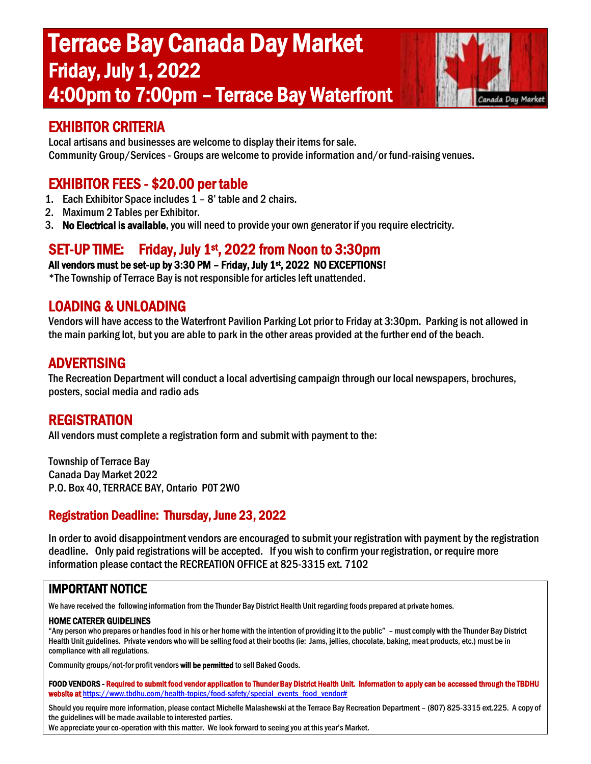# Terrace Bay Canada Day Market Friday, July 1, 2022 4:00pm to 7:00pm – Terrace Bay Waterfront



#### EXHIBITOR CRITERIA

Local artisans and businesses are welcome to display their items for sale. Community Group/Services- Groups are welcome to provide information and/or fund-raising venues.

#### EXHIBITOR FEES - \$20.00 per table

- 1. Each Exhibitor Space includes 1 8' table and 2 chairs.
- 2. Maximum 2 Tables per Exhibitor.
- 3. No Electrical is available, you will need to provide your own generator if you require electricity.

## SET-UP TIME: Friday, July 1st, 2022 from Noon to 3:30pm

All vendors must be set-up by 3:30 PM - Friday, July 1<sup>st</sup>, 2022 NO EXCEPTIONS!

\*The Township of Terrace Bay is not responsible for articles left unattended.

#### LOADING & UNLOADING

Vendors will have access to the Waterfront Pavilion Parking Lot prior to Friday at 3:30pm. Parking is not allowed in the main parking lot, but you are able to park in the other areas provided at the further end of the beach.

#### ADVERTISING

The Recreation Department will conduct a local advertising campaign through our local newspapers, brochures, posters, social media and radio ads

#### REGISTRATION

All vendors must complete a registration form and submit with payment to the:

Township of Terrace Bay Canada Day Market 2022 P.O. Box 40, TERRACE BAY, Ontario P0T 2W0

#### Registration Deadline: Thursday, June 23, 2022

In order to avoid disappointment vendors are encouraged to submit your registration with payment by the registration deadline. Only paid registrations will be accepted. If you wish to confirm your registration, or require more information please contact the RECREATION OFFICE at 825-3315 ext. 7102

#### IMPORTANT NOTICE

We have received the following information from the Thunder Bay District Health Unit regarding foods prepared at private homes.

#### HOME CATERER GUIDELINES

"Any person who prepares or handles food in his or her home with the intention of providing it to the public" – must comply with the Thunder Bay District Health Unit guidelines. Private vendors who will be selling food at their booths (ie: Jams, jellies, chocolate, baking, meat products, etc.) must be in compliance with all regulations.

Community groups/not-for profit vendors will be permitted to sell Baked Goods.

FOOD VENDORS - Required to submit food vendor application to Thunder Bay District Health Unit. Information to apply can be accessed through the TBDHU website at https://www.tbdhu.com/health-topics/food-safety/special\_events\_food\_vendor#

Should you require more information, please contact Michelle Malashewski at the Terrace Bay Recreation Department – (807) 825-3315 ext.225. A copy of the guidelines will be made available to interested parties. We appreciate your co-operation with this matter. We look forward to seeing you at this year's Market.